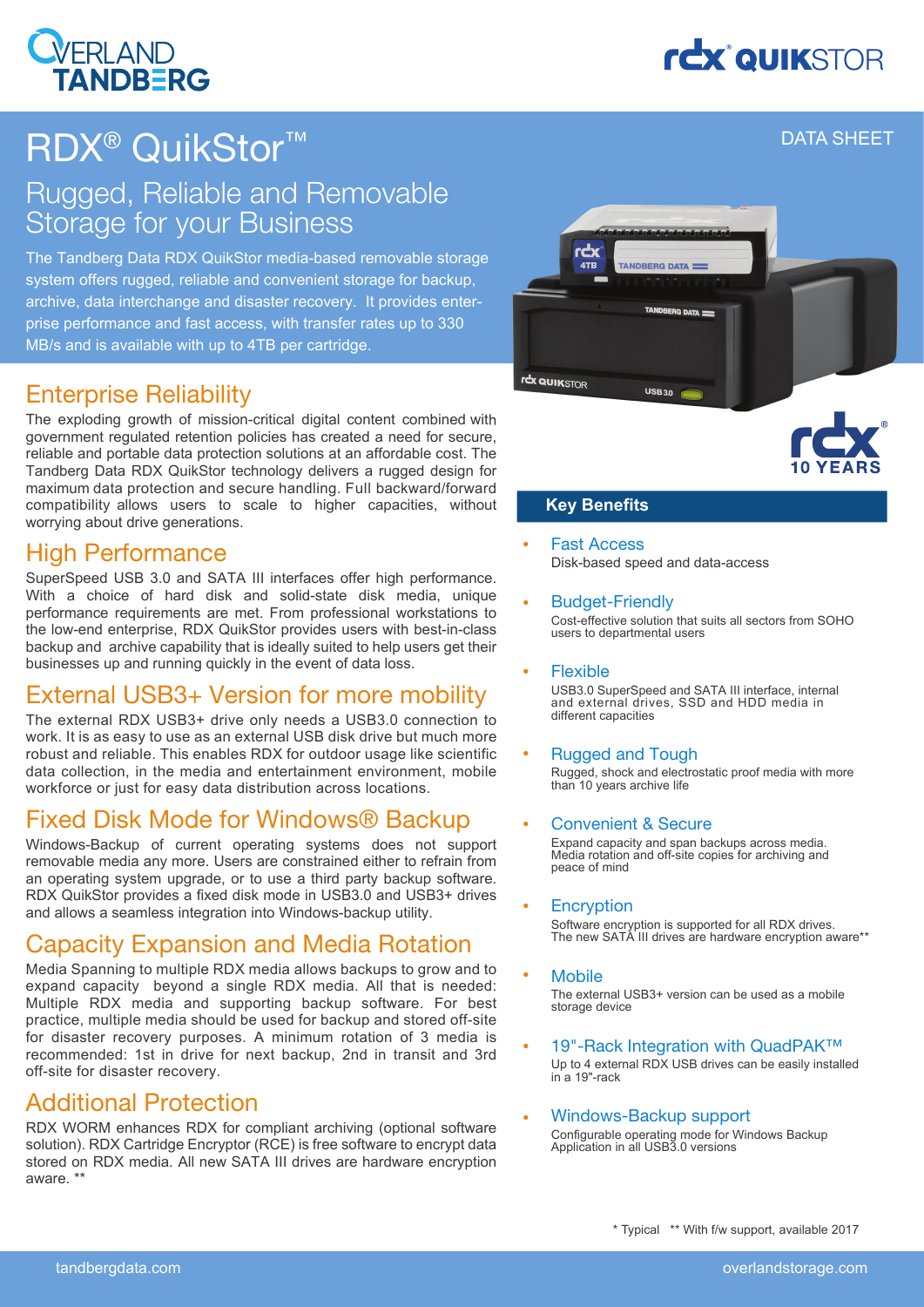# **rex QUIKSTOR**

DATA SHEET



## **RDX<sup>®</sup> QuikStor™**

## Rugged, Reliable and Removable Storage for your Business

The Tandberg Data RDX QuikStor media-based removable storage system offers rugged, reliable and convenient storage for backup, archive, data interchange and disaster recovery. It provides enterprise performance and fast access, with transfer rates up to 330 MB/s and is available with up to 4TB per cartridge.

### Enterprise Reliability

The exploding growth of mission-critical digital content combined with government regulated retention policies has created a need for secure, reliable and portable data protection solutions at an affordable cost. The Tandberg Data RDX QuikStor technology delivers a rugged design for maximum data protection and secure handling. Full backward/forward compatibility allows users to scale to higher capacities, without worrying about drive generations.

### High Performance

SuperSpeed USB 3.0 and SATA III interfaces offer high performance. With a choice of hard disk and solid-state disk media, unique performance requirements are met. From professional workstations to the low-end enterprise, RDX QuikStor provides users with best-in-class backup and archive capability that is ideally suited to help users get their businesses up and running quickly in the event of data loss.

### External USB3+ Version for more mobility

The external RDX USB3+ drive only needs a USB3.0 connection to work. It is as easy to use as an external USB disk drive but much more robust and reliable. This enables RDX for outdoor usage like scientific data collection, in the media and entertainment environment, mobile workforce or just for easy data distribution across locations.

### Fixed Disk Mode for Windows® Backup

Windows-Backup of current operating systems does not support removable media any more. Users are constrained either to refrain from an operating system upgrade, or to use a third party backup software. RDX QuikStor provides a fixed disk mode in USB3.0 and USB3+ drives and allows a seamless integration into Windows-backup utility.

### Capacity Expansion and Media Rotation

Media Spanning to multiple RDX media allows backups to grow and to expand capacity beyond a single RDX media. All that is needed: Multiple RDX media and supporting backup software. For best practice, multiple media should be used for backup and stored off-site for disaster recovery purposes. A minimum rotation of 3 media is recommended: 1st in drive for next backup, 2nd in transit and 3rd off-site for disaster recovery.

### Additional Protection

RDX WORM enhances RDX for compliant archiving (optional software solution). RDX Cartridge Encryptor (RCE) is free software to encrypt data stored on RDX media. All new SATA III drives are hardware encryption aware. \*\*



#### **Key Benefits**

- Fast Access Disk-based speed and data-access •
	- Budget-Friendly Cost-effective solution that suits all sectors from SOHO users to departmental users

#### Flexible •

•

USB3.0 SuperSpeed and SATA III interface, internal and external drives, SSD and HDD media in different capacities

#### Rugged and Tough •

Rugged, shock and electrostatic proof media with more than 10 years archive life

#### Convenient & Secure •

Expand capacity and span backups across media. Media rotation and off-site copies for archiving and peace of mind

#### **Encryption** •

Software encryption is supported for all RDX drives. The new SATA III drives are hardware encryption aware\*\*

**Mobile** •

The external USB3+ version can be used as a mobile storage device

19"-Rack Integration with QuadPAK™ •

Up to 4 external RDX USB drives can be easily installed in a 19"-rack

Windows-Backup support Configurable operating mode for Windows Backup •

Application in all USB3.0 versions

\* Typical \*\* With f/w support, available 2017